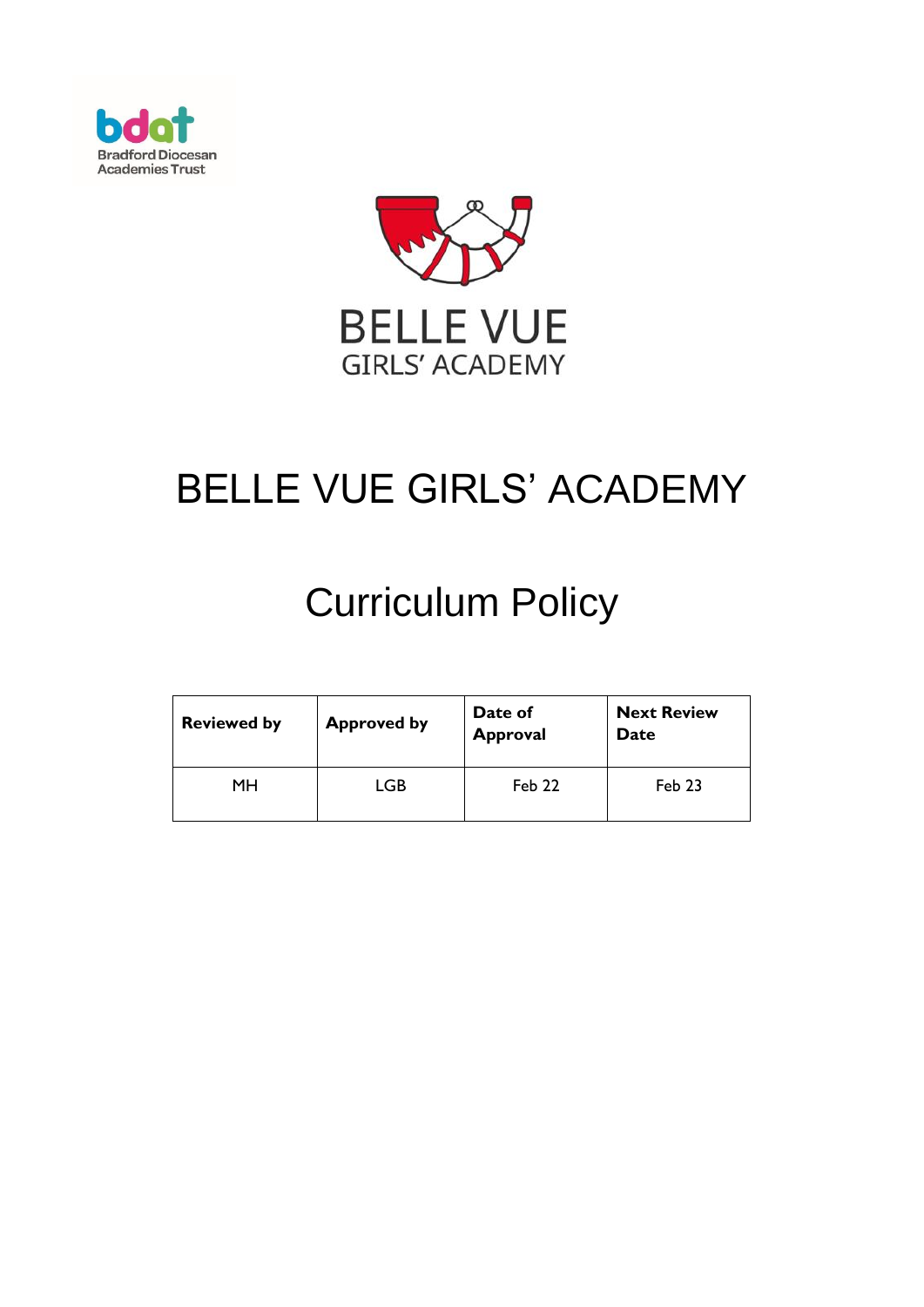



# BELLE VUE GIRLS' ACADEMY

# Curriculum Policy

| <b>Reviewed by</b> | <b>Approved by</b> | Date of<br><b>Approval</b> | <b>Next Review</b><br>Date |
|--------------------|--------------------|----------------------------|----------------------------|
| MН                 | LGB                | Feb 22                     | Feb 23                     |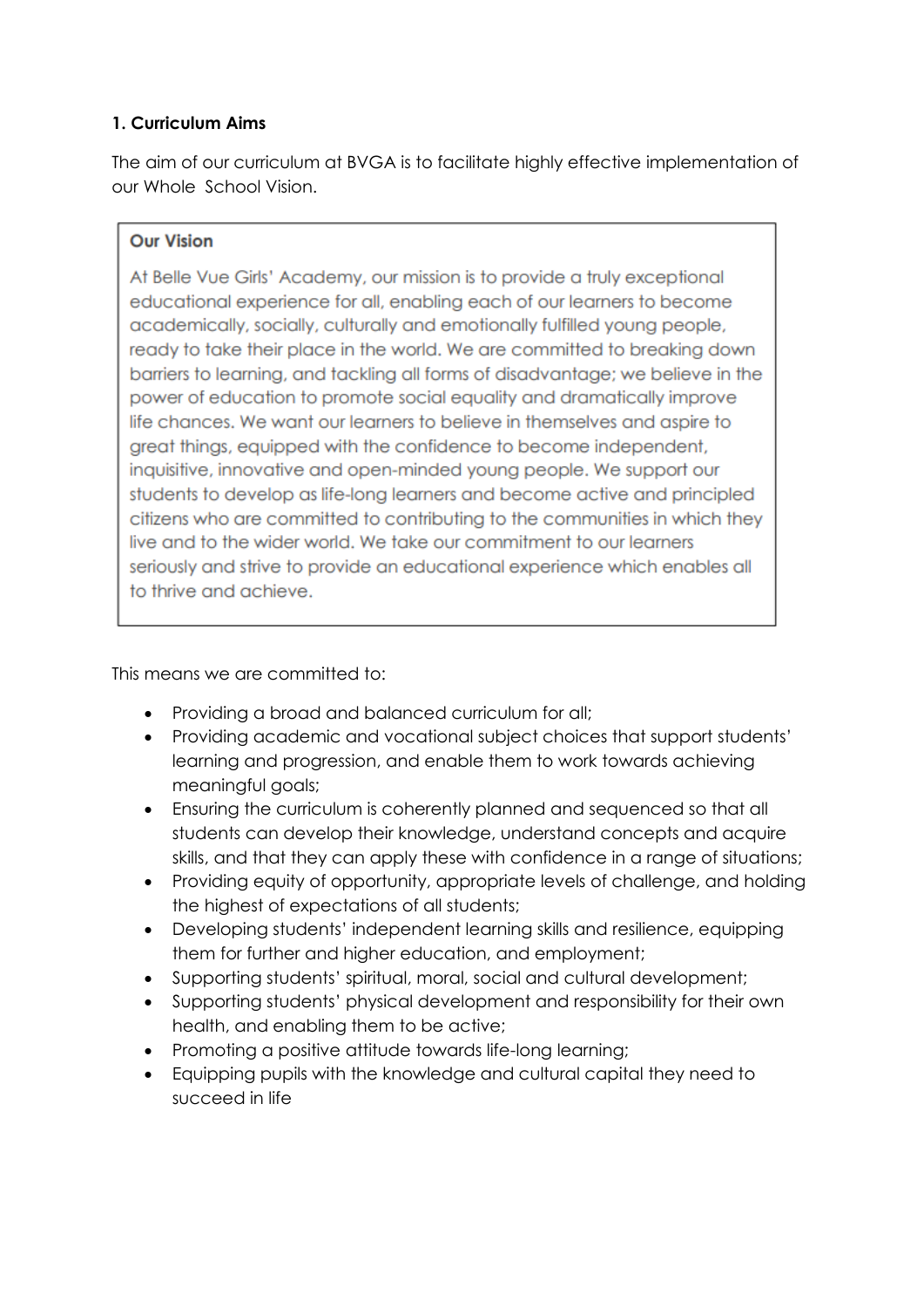# **1. Curriculum Aims**

The aim of our curriculum at BVGA is to facilitate highly effective implementation of our Whole School Vision.

#### **Our Vision**

At Belle Vue Girls' Academy, our mission is to provide a truly exceptional educational experience for all, enabling each of our learners to become academically, socially, culturally and emotionally fulfilled young people, ready to take their place in the world. We are committed to breaking down barriers to learning, and tackling all forms of disadvantage; we believe in the power of education to promote social equality and dramatically improve life chances. We want our learners to believe in themselves and aspire to great things, equipped with the confidence to become independent, inquisitive, innovative and open-minded young people. We support our students to develop as life-long learners and become active and principled citizens who are committed to contributing to the communities in which they live and to the wider world. We take our commitment to our learners seriously and strive to provide an educational experience which enables all to thrive and achieve.

This means we are committed to:

- Providing a broad and balanced curriculum for all;
- Providing academic and vocational subject choices that support students' learning and progression, and enable them to work towards achieving meaningful goals;
- Ensuring the curriculum is coherently planned and sequenced so that all students can develop their knowledge, understand concepts and acquire skills, and that they can apply these with confidence in a range of situations;
- Providing equity of opportunity, appropriate levels of challenge, and holding the highest of expectations of all students;
- Developing students' independent learning skills and resilience, equipping them for further and higher education, and employment;
- Supporting students' spiritual, moral, social and cultural development;
- Supporting students' physical development and responsibility for their own health, and enabling them to be active;
- Promoting a positive attitude towards life-long learning;
- Equipping pupils with the knowledge and cultural capital they need to succeed in life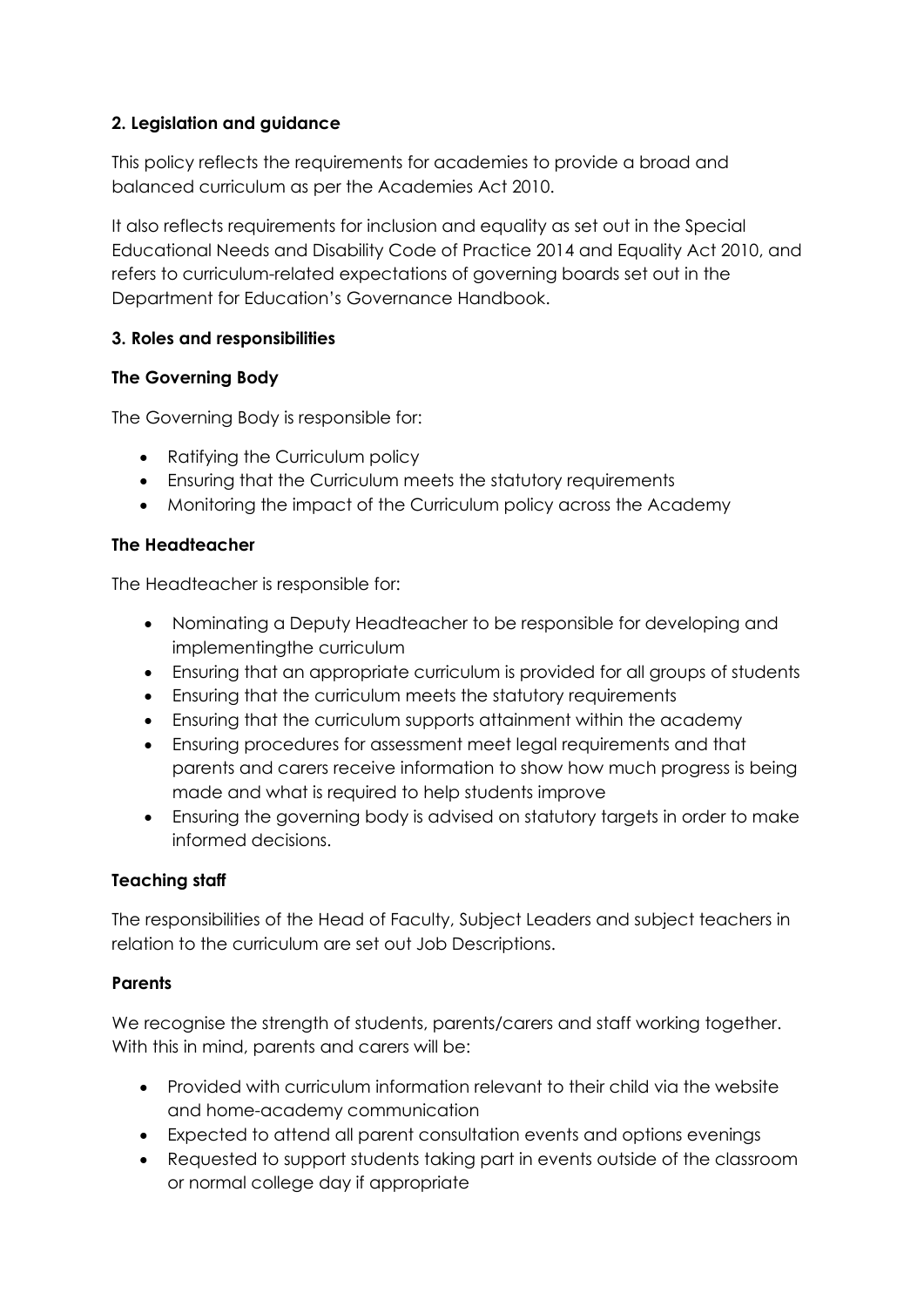# **2. Legislation and guidance**

This policy reflects the requirements for academies to provide a broad and balanced curriculum as per the Academies Act 2010.

It also reflects requirements for inclusion and equality as set out in the Special Educational Needs and Disability Code of Practice 2014 and Equality Act 2010, and refers to curriculum-related expectations of governing boards set out in the Department for Education's Governance Handbook.

## **3. Roles and responsibilities**

# **The Governing Body**

The Governing Body is responsible for:

- Ratifying the Curriculum policy
- Ensuring that the Curriculum meets the statutory requirements
- Monitoring the impact of the Curriculum policy across the Academy

## **The Headteacher**

The Headteacher is responsible for:

- Nominating a Deputy Headteacher to be responsible for developing and implementingthe curriculum
- Ensuring that an appropriate curriculum is provided for all groups of students
- Ensuring that the curriculum meets the statutory requirements
- Ensuring that the curriculum supports attainment within the academy
- Ensuring procedures for assessment meet legal requirements and that parents and carers receive information to show how much progress is being made and what is required to help students improve
- Ensuring the governing body is advised on statutory targets in order to make informed decisions.

# **Teaching staff**

The responsibilities of the Head of Faculty, Subject Leaders and subject teachers in relation to the curriculum are set out Job Descriptions.

## **Parents**

We recognise the strength of students, parents/carers and staff working together. With this in mind, parents and carers will be:

- Provided with curriculum information relevant to their child via the website and home-academy communication
- Expected to attend all parent consultation events and options evenings
- Requested to support students taking part in events outside of the classroom or normal college day if appropriate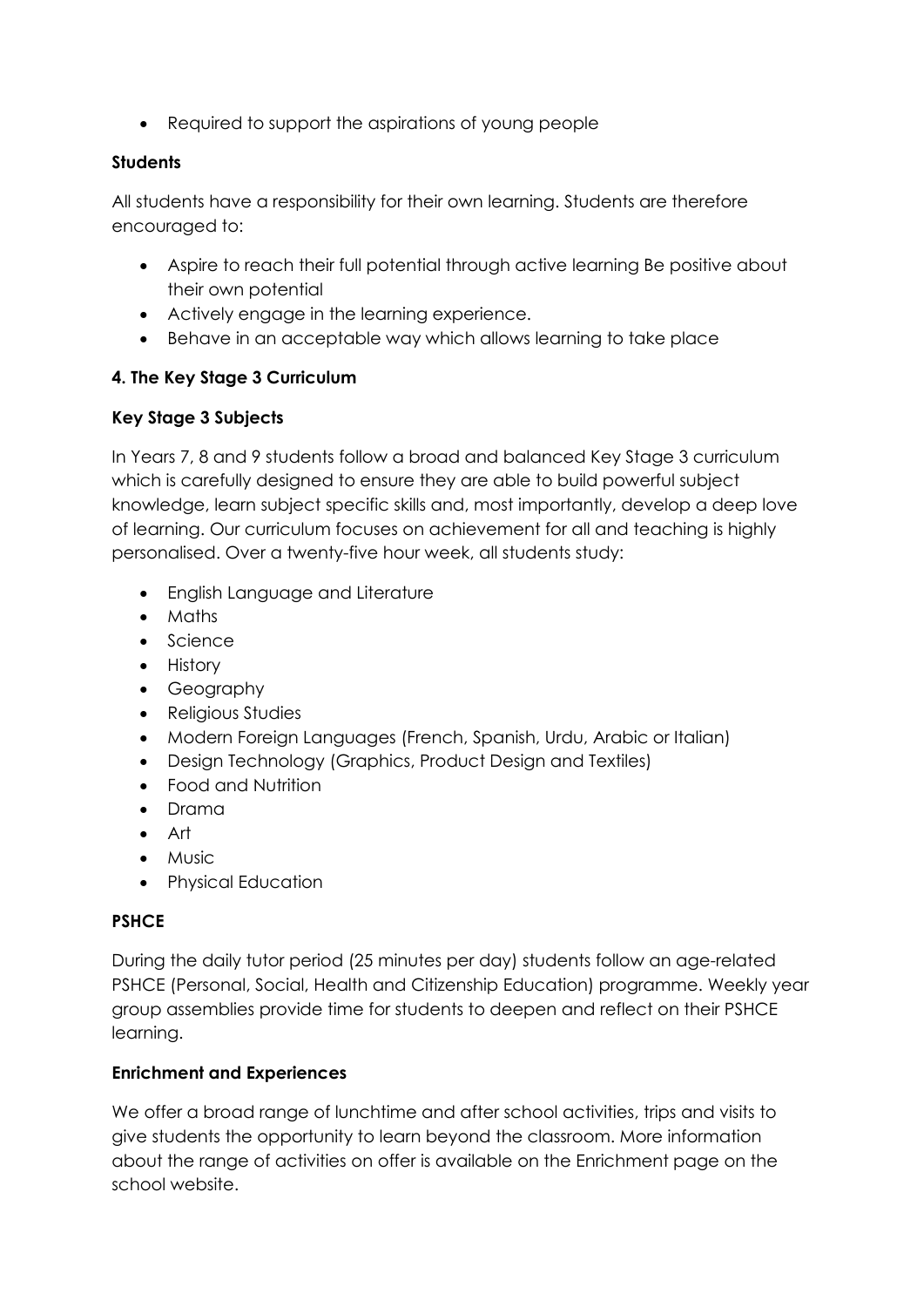• Required to support the aspirations of young people

#### **Students**

All students have a responsibility for their own learning. Students are therefore encouraged to:

- Aspire to reach their full potential through active learning Be positive about their own potential
- Actively engage in the learning experience.
- Behave in an acceptable way which allows learning to take place

# **4. The Key Stage 3 Curriculum**

# **Key Stage 3 Subjects**

In Years 7, 8 and 9 students follow a broad and balanced Key Stage 3 curriculum which is carefully designed to ensure they are able to build powerful subject knowledge, learn subject specific skills and, most importantly, develop a deep love of learning. Our curriculum focuses on achievement for all and teaching is highly personalised. Over a twenty-five hour week, all students study:

- English Language and Literature
- Maths
- Science
- History
- Geography
- Religious Studies
- Modern Foreign Languages (French, Spanish, Urdu, Arabic or Italian)
- Design Technology (Graphics, Product Design and Textiles)
- Food and Nutrition
- Drama
- Art
- Music
- Physical Education

## **PSHCE**

During the daily tutor period (25 minutes per day) students follow an age-related PSHCE (Personal, Social, Health and Citizenship Education) programme. Weekly year group assemblies provide time for students to deepen and reflect on their PSHCE learning.

## **Enrichment and Experiences**

We offer a broad range of lunchtime and after school activities, trips and visits to give students the opportunity to learn beyond the classroom. More information about the range of activities on offer is available on the Enrichment page on the school website.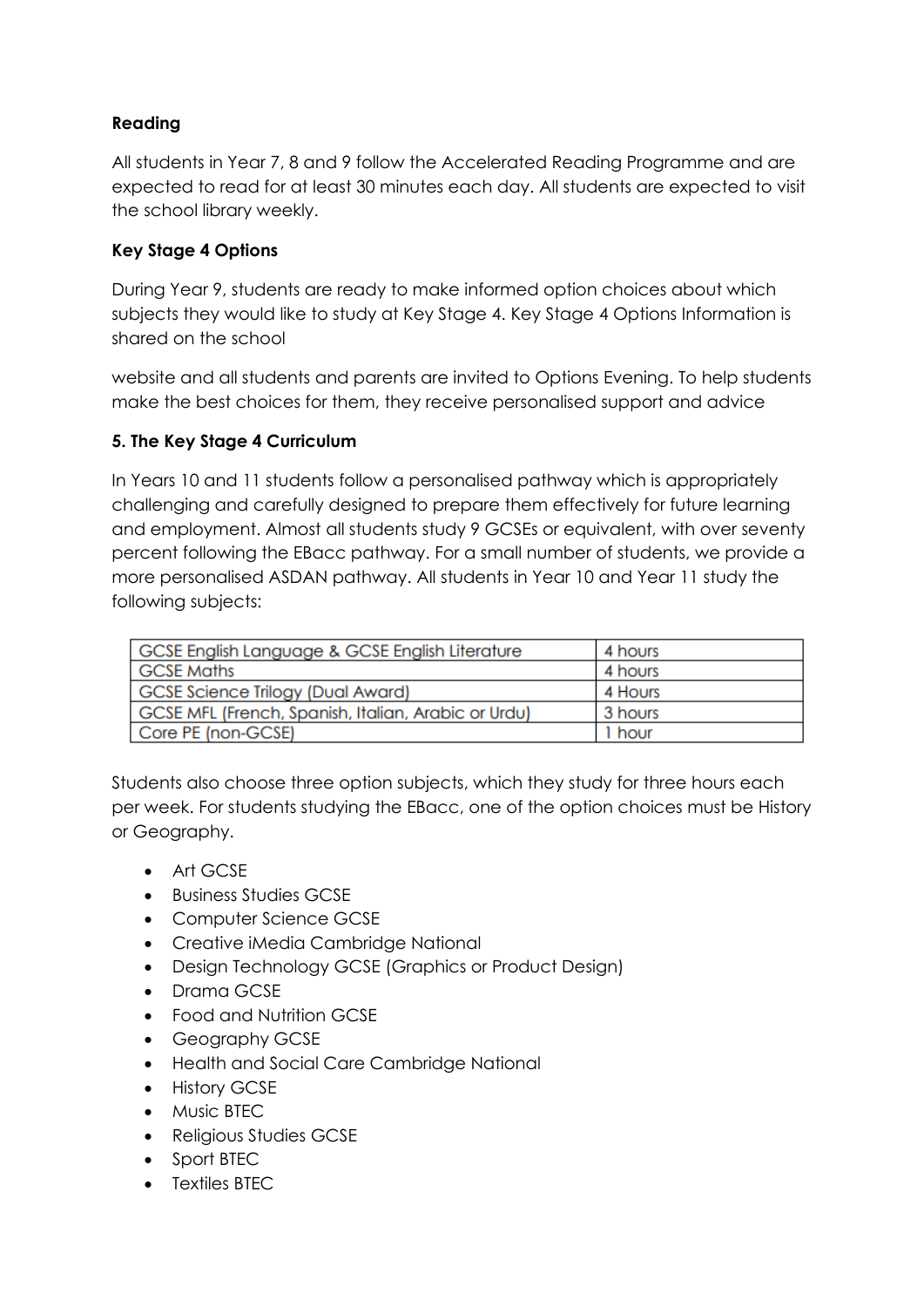# **Reading**

All students in Year 7, 8 and 9 follow the Accelerated Reading Programme and are expected to read for at least 30 minutes each day. All students are expected to visit the school library weekly.

## **Key Stage 4 Options**

During Year 9, students are ready to make informed option choices about which subjects they would like to study at Key Stage 4. Key Stage 4 Options Information is shared on the school

website and all students and parents are invited to Options Evening. To help students make the best choices for them, they receive personalised support and advice

## **5. The Key Stage 4 Curriculum**

In Years 10 and 11 students follow a personalised pathway which is appropriately challenging and carefully designed to prepare them effectively for future learning and employment. Almost all students study 9 GCSEs or equivalent, with over seventy percent following the EBacc pathway. For a small number of students, we provide a more personalised ASDAN pathway. All students in Year 10 and Year 11 study the following subjects:

| GCSE English Language & GCSE English Literature     | 4 hours |
|-----------------------------------------------------|---------|
| <b>GCSE Maths</b>                                   | 4 hours |
| GCSE Science Trilogy (Dual Award)                   | 4 Hours |
| GCSE MFL (French, Spanish, Italian, Arabic or Urdu) | 3 hours |
| Core PE (non-GCSE)                                  | 1 hour  |

Students also choose three option subjects, which they study for three hours each per week. For students studying the EBacc, one of the option choices must be History or Geography.

- Art GCSE
- Business Studies GCSE
- Computer Science GCSE
- Creative iMedia Cambridge National
- Design Technology GCSE (Graphics or Product Design)
- Drama GCSE
- Food and Nutrition GCSE
- Geography GCSE
- Health and Social Care Cambridge National
- History GCSE
- Music BTEC
- Religious Studies GCSE
- Sport BTEC
- Textiles BTEC